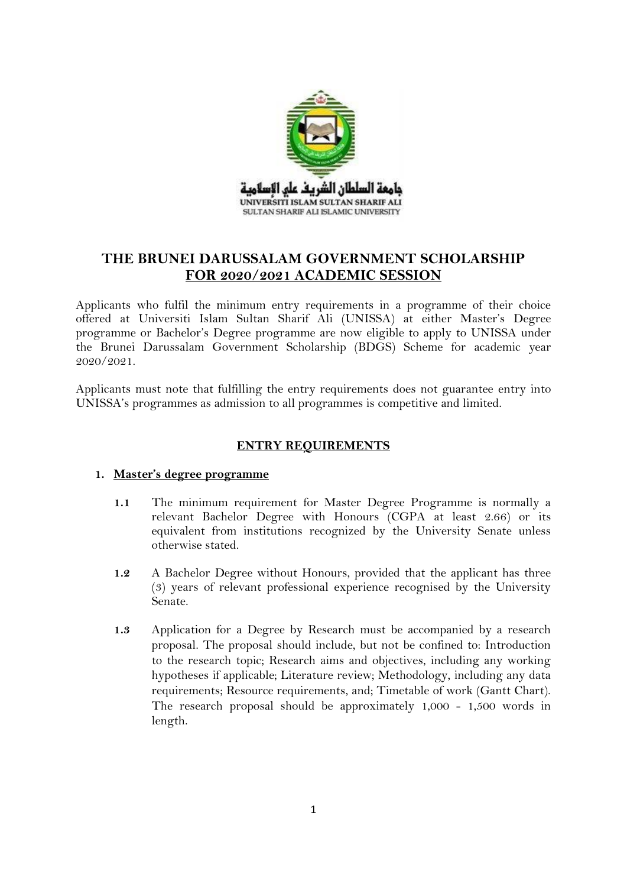

# **THE BRUNEI DARUSSALAM GOVERNMENT SCHOLARSHIP FOR 2020/2021 ACADEMIC SESSION**

Applicants who fulfil the minimum entry requirements in a programme of their choice offered at Universiti Islam Sultan Sharif Ali (UNISSA) at either Master's Degree programme or Bachelor's Degree programme are now eligible to apply to UNISSA under the Brunei Darussalam Government Scholarship (BDGS) Scheme for academic year 2020/2021.

Applicants must note that fulfilling the entry requirements does not guarantee entry into UNISSA's programmes as admission to all programmes is competitive and limited.

# **ENTRY REQUIREMENTS**

## **1. Master's degree programme**

- **1.1** The minimum requirement for Master Degree Programme is normally a relevant Bachelor Degree with Honours (CGPA at least 2.66) or its equivalent from institutions recognized by the University Senate unless otherwise stated.
- **1.2** A Bachelor Degree without Honours, provided that the applicant has three (3) years of relevant professional experience recognised by the University Senate.
- **1.3** Application for a Degree by Research must be accompanied by a research proposal. The proposal should include, but not be confined to: Introduction to the research topic; Research aims and objectives, including any working hypotheses if applicable; Literature review; Methodology, including any data requirements; Resource requirements, and; Timetable of work (Gantt Chart). The research proposal should be approximately 1,000 - 1,500 words in length.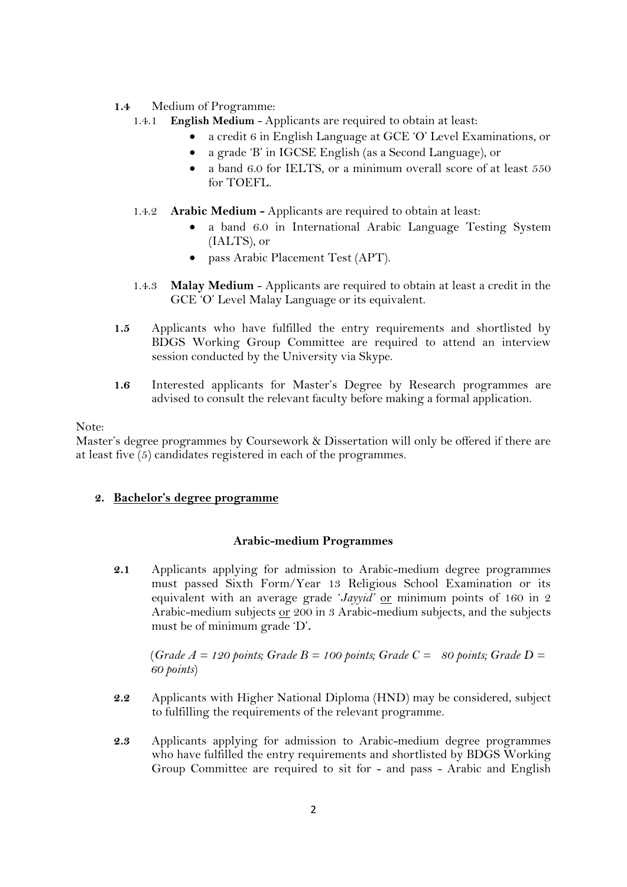- **1.4** Medium of Programme:
	- 1.4.1 **English Medium** Applicants are required to obtain at least:
		- a credit 6 in English Language at GCE 'O' Level Examinations, or
		- a grade 'B' in IGCSE English (as a Second Language), or
		- a band 6.0 for IELTS, or a minimum overall score of at least 550 for TOEFL.
	- 1.4.2 **Arabic Medium -** Applicants are required to obtain at least:
		- a band 6.0 in International Arabic Language Testing System (IALTS), or
		- pass Arabic Placement Test (APT).
	- 1.4.3 **Malay Medium**  Applicants are required to obtain at least a credit in the GCE 'O' Level Malay Language or its equivalent.
- **1.5** Applicants who have fulfilled the entry requirements and shortlisted by BDGS Working Group Committee are required to attend an interview session conducted by the University via Skype.
- **1.6** Interested applicants for Master's Degree by Research programmes are advised to consult the relevant faculty before making a formal application.

## Note:

Master's degree programmes by Coursework & Dissertation will only be offered if there are at least five (5) candidates registered in each of the programmes.

## **2. Bachelor's degree programme**

#### **Arabic-medium Programmes**

**2.1** Applicants applying for admission to Arabic-medium degree programmes must passed Sixth Form/Year 13 Religious School Examination or its equivalent with an average grade '*Jayyid'* or minimum points of 160 in 2 Arabic-medium subjects or 200 in 3 Arabic-medium subjects, and the subjects must be of minimum grade 'D'**.**

(*Grade A = 120 points; Grade B = 100 points; Grade C = 80 points; Grade D = 60 points*)

- **2.2** Applicants with Higher National Diploma (HND) may be considered, subject to fulfilling the requirements of the relevant programme.
- **2.3** Applicants applying for admission to Arabic-medium degree programmes who have fulfilled the entry requirements and shortlisted by BDGS Working Group Committee are required to sit for - and pass - Arabic and English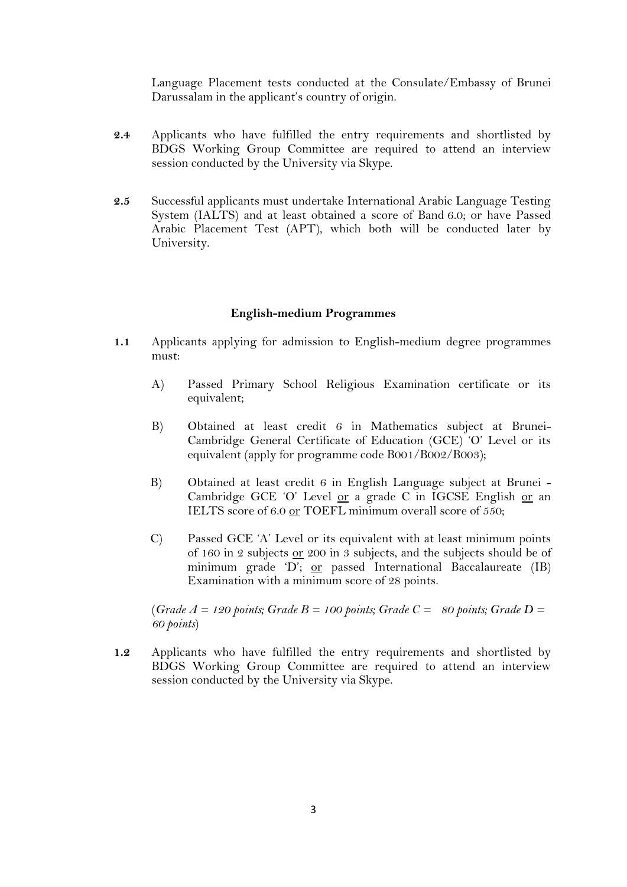Language Placement tests conducted at the Consulate/Embassy of Brunei Darussalam in the applicant's country of origin.

- **2.4** Applicants who have fulfilled the entry requirements and shortlisted by BDGS Working Group Committee are required to attend an interview session conducted by the University via Skype.
- **2.5** Successful applicants must undertake International Arabic Language Testing System (IALTS) and at least obtained a score of Band 6.0; or have Passed Arabic Placement Test (APT), which both will be conducted later by University.

#### **English-medium Programmes**

- **1.1** Applicants applying for admission to English-medium degree programmes must:
	- A) Passed Primary School Religious Examination certificate or its equivalent;
	- B) Obtained at least credit 6 in Mathematics subject at Brunei-Cambridge General Certificate of Education (GCE) 'O' Level or its equivalent (apply for programme code B001/B002/B003);
	- B) Obtained at least credit 6 in English Language subject at Brunei Cambridge GCE 'O' Level or a grade C in IGCSE English or an IELTS score of 6.0 or TOEFL minimum overall score of 550;
	- C) Passed GCE 'A' Level or its equivalent with at least minimum points of 160 in 2 subjects or 200 in 3 subjects, and the subjects should be of minimum grade 'D'; or passed International Baccalaureate (IB) Examination with a minimum score of 28 points.

(*Grade A = 120 points; Grade B = 100 points; Grade C = 80 points; Grade D = 60 points*)

**1.2** Applicants who have fulfilled the entry requirements and shortlisted by BDGS Working Group Committee are required to attend an interview session conducted by the University via Skype.